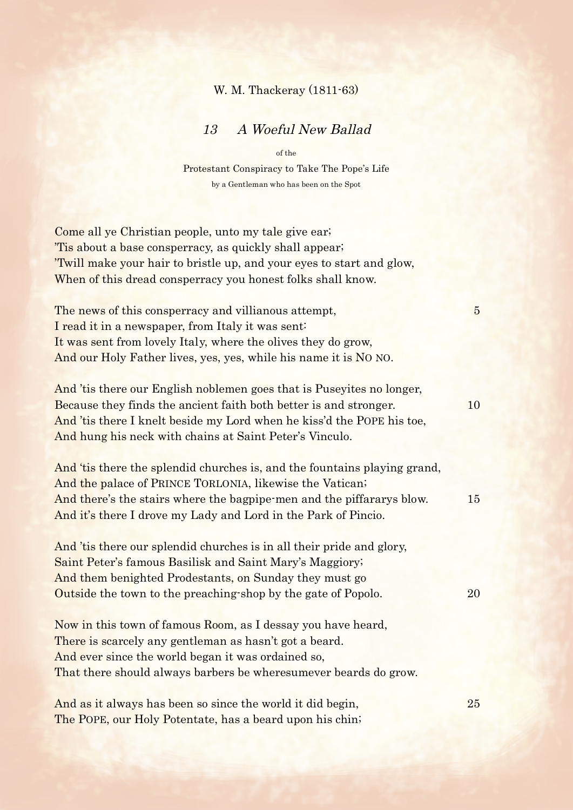## W. M. Thackeray (1811-63)

## 13 A Woeful New Ballad

of the Protestant Conspiracy to Take The Pope's Life by a Gentleman who has been on the Spot

| Come all ye Christian people, unto my tale give ear.<br>Tis about a base consperracy, as quickly shall appear.<br>'Twill make your hair to bristle up, and your eyes to start and glow,<br>When of this dread consperracy you honest folks shall know.                           |                |
|----------------------------------------------------------------------------------------------------------------------------------------------------------------------------------------------------------------------------------------------------------------------------------|----------------|
| The news of this consperracy and villianous attempt,<br>I read it in a newspaper, from Italy it was sent:<br>It was sent from lovely Italy, where the olives they do grow,<br>And our Holy Father lives, yes, yes, while his name it is NO NO.                                   | $\overline{5}$ |
| And 'tis there our English noblemen goes that is Puseyites no longer,<br>Because they finds the ancient faith both better is and stronger.<br>And 'tis there I knelt beside my Lord when he kiss'd the POPE his toe,<br>And hung his neck with chains at Saint Peter's Vinculo.  | 10             |
| And 'tis there the splendid churches is, and the fountains playing grand,<br>And the palace of PRINCE TORLONIA, likewise the Vatican;<br>And there's the stairs where the bagpipe-men and the piffararys blow.<br>And it's there I drove my Lady and Lord in the Park of Pincio. | 15             |
| And 'tis there our splendid churches is in all their pride and glory,<br>Saint Peter's famous Basilisk and Saint Mary's Maggiory;<br>And them benighted Prodestants, on Sunday they must go<br>Outside the town to the preaching shop by the gate of Popolo.                     | 20             |
| Now in this town of famous Room, as I dessay you have heard,<br>There is scarcely any gentleman as hasn't got a beard.<br>And ever since the world began it was ordained so,<br>That there should always barbers be wheresumever beards do grow.                                 |                |
| And as it always has been so since the world it did begin,                                                                                                                                                                                                                       | 25             |

The POPE, our Holy Potentate, has a beard upon his chin;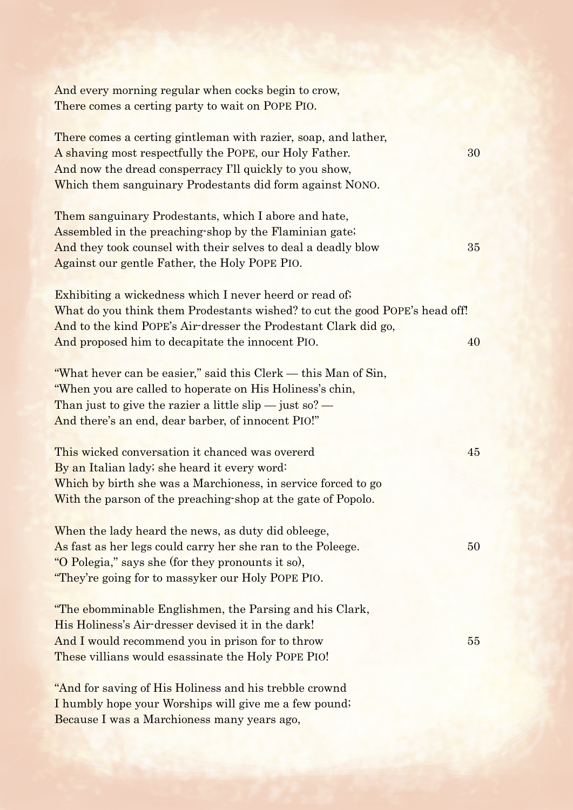| And every morning regular when cocks begin to crow,                                                                                            |    |
|------------------------------------------------------------------------------------------------------------------------------------------------|----|
| There comes a certing party to wait on POPE PIO.                                                                                               |    |
| There comes a certing gintleman with razier, soap, and lather,                                                                                 |    |
| A shaving most respectfully the POPE, our Holy Father.                                                                                         | 30 |
| And now the dread consperracy I'll quickly to you show,                                                                                        |    |
| Which them sanguinary Prodestants did form against NONO.                                                                                       |    |
| Them sanguinary Prodestants, which I abore and hate,                                                                                           |    |
| Assembled in the preaching shop by the Flaminian gate;                                                                                         |    |
| And they took counsel with their selves to deal a deadly blow                                                                                  | 35 |
| Against our gentle Father, the Holy POPE PIO.                                                                                                  |    |
|                                                                                                                                                |    |
| <b>Exhibiting a wickedness which I never heerd or read of.</b>                                                                                 |    |
| What do you think them Prodestants wished? to cut the good POPE's head off!<br>And to the kind POPE's Air-dresser the Prodestant Clark did go, |    |
| And proposed him to decapitate the innocent PIO.                                                                                               | 40 |
|                                                                                                                                                |    |
| "What hever can be easier," said this Clerk - this Man of Sin,                                                                                 |    |
| "When you are called to hoperate on His Holiness's chin,                                                                                       |    |
| Than just to give the razier a little slip $-$ just so? $-$                                                                                    |    |
| And there's an end, dear barber, of innocent PIO!"                                                                                             |    |
| This wicked conversation it chanced was overerd                                                                                                | 45 |
| By an Italian lady; she heard it every word:                                                                                                   |    |
| Which by birth she was a Marchioness, in service forced to go                                                                                  |    |
| With the parson of the preaching shop at the gate of Popolo.                                                                                   |    |
|                                                                                                                                                |    |
| When the lady heard the news, as duty did obleege,                                                                                             |    |
| As fast as her legs could carry her she ran to the Poleege.                                                                                    | 50 |
| "O Polegia," says she (for they pronounts it so),                                                                                              |    |
| "They're going for to massyker our Holy POPE PIO.                                                                                              |    |
| "The ebomminable Englishmen, the Parsing and his Clark,                                                                                        |    |
| His Holiness's Air-dresser devised it in the dark!                                                                                             |    |
| And I would recommend you in prison for to throw                                                                                               | 55 |
| These villians would esassinate the Holy POPE PIO!                                                                                             |    |
|                                                                                                                                                |    |
| "And for saving of His Holiness and his trebble crownd                                                                                         |    |
| I humbly hope your Worships will give me a few pound;                                                                                          |    |
| Because I was a Marchioness many years ago,                                                                                                    |    |